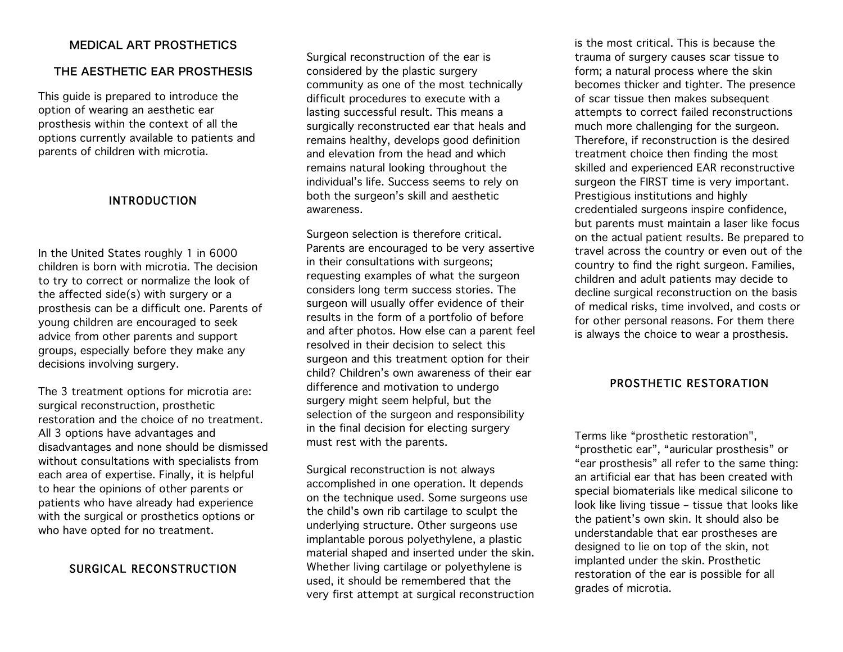# MEDICAL ART PROSTHETICS

#### THE AESTHETIC EAR PROSTHESIS

This guide is prepared to introduce the option of wearing an aesthetic ear prosthesis within the context of all the options currently available to patients and parents of children with microtia.

#### INTRODUCTION

In the United States roughly 1 in 6000 children is born with microtia. The decision to try to correct or normalize the look of the affected side(s) with surgery or a prosthesis can be a difficult one. Parents of young children are encouraged to seek advice from other parents and support groups, especially before they make any decisions involving surgery.

The 3 treatment options for microtia are: surgical reconstruction, prosthetic restoration and the choice of no treatment. All 3 options have advantages and disadvantages and none should be dismissed without consultations with specialists from each area of expertise. Finally, it is helpful to hear the opinions of other parents or patients who have already had experience with the surgical or prosthetics options or who have opted for no treatment.

# SURGICAL RECONSTRUCTION

Surgical reconstruction of the ear is considered by the plastic surgery community as one of the most technically difficult procedures to execute with a lasting successful result. This means a surgically reconstructed ear that heals and remains healthy, develops good definition and elevation from the head and which remains natural looking throughout the individual's life. Success seems to rely on both the surgeon's skill and aesthetic awareness.

Surgeon selection is therefore critical. Parents are encouraged to be very assertive in their consultations with surgeons; requesting examples of what the surgeon considers long term success stories. The surgeon will usually offer evidence of their results in the form of a portfolio of before and after photos. How else can a parent feel resolved in their decision to select this surgeon and this treatment option for their child? Children's own awareness of their ear difference and motivation to undergo surgery might seem helpful, but the selection of the surgeon and responsibility in the final decision for electing surgery must rest with the parents.

Surgical reconstruction is not always accomplished in one operation. It depends on the technique used. Some surgeons use the child's own rib cartilage to sculpt the underlying structure. Other surgeons use implantable porous polyethylene, a plastic material shaped and inserted under the skin. Whether living cartilage or polyethylene is used, it should be remembered that the very first attempt at surgical reconstruction

is the most critical. This is because the trauma of surgery causes scar tissue to form; a natural process where the skin becomes thicker and tighter. The presence of scar tissue then makes subsequent attempts to correct failed reconstructions much more challenging for the surgeon. Therefore, if reconstruction is the desired treatment choice then finding the most skilled and experienced EAR reconstructive surgeon the FIRST time is very important. Prestigious institutions and highly credentialed surgeons inspire confidence, but parents must maintain a laser like focus on the actual patient results. Be prepared to travel across the country or even out of the country to find the right surgeon. Families, children and adult patients may decide to decline surgical reconstruction on the basis of medical risks, time involved, and costs or for other personal reasons. For them there is always the choice to wear a prosthesis.

# PROSTHETIC RESTORATION

Terms like "prosthetic restoration", "prosthetic ear", "auricular prosthesis" or "ear prosthesis" all refer to the same thing: an artificial ear that has been created with special biomaterials like medical silicone to look like living tissue – tissue that looks like the patient's own skin. It should also be understandable that ear prostheses are designed to lie on top of the skin, not implanted under the skin. Prosthetic restoration of the ear is possible for all grades of microtia.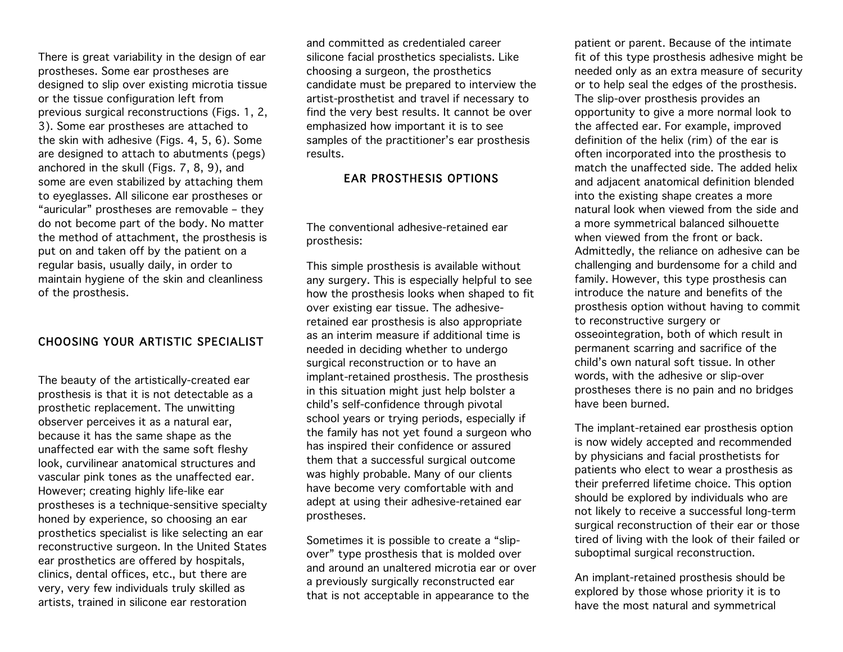There is great variability in the design of ear prostheses. Some ear prostheses are designed to slip over existing microtia tissue or the tissue configuration left from previous surgical reconstructions (Figs. 1, 2, 3). Some ear prostheses are attached to the skin with adhesive (Figs. 4, 5, 6). Some are designed to attach to abutments (pegs) anchored in the skull (Figs. 7, 8, 9), and some are even stabilized by attaching them to eyeglasses. All silicone ear prostheses or "auricular" prostheses are removable – they do not become part of the body. No matter the method of attachment, the prosthesis is put on and taken off by the patient on a regular basis, usually daily, in order to maintain hygiene of the skin and cleanliness of the prosthesis.

#### CHOOSING YOUR ARTISTIC SPECIALIST

The beauty of the artistically-created ear prosthesis is that it is not detectable as a prosthetic replacement. The unwitting observer perceives it as a natural ear, because it has the same shape as the unaffected ear with the same soft fleshy look, curvilinear anatomical structures and vascular pink tones as the unaffected ear. However; creating highly life-like ear prostheses is a technique-sensitive specialty honed by experience, so choosing an ear prosthetics specialist is like selecting an ear reconstructive surgeon. In the United States ear prosthetics are offered by hospitals, clinics, dental offices, etc., but there are very, very few individuals truly skilled as artists, trained in silicone ear restoration

and committed as credentialed career silicone facial prosthetics specialists. Like choosing a surgeon, the prosthetics candidate must be prepared to interview the artist-prosthetist and travel if necessary to find the very best results. It cannot be over emphasized how important it is to see samples of the practitioner's ear prosthesis results.

# EAR PROSTHESIS OPTIONS

The conventional adhesive-retained ear prosthesis:

This simple prosthesis is available without any surgery. This is especially helpful to see how the prosthesis looks when shaped to fit over existing ear tissue. The adhesiveretained ear prosthesis is also appropriate as an interim measure if additional time is needed in deciding whether to undergo surgical reconstruction or to have an implant-retained prosthesis. The prosthesis in this situation might just help bolster a child's self-confidence through pivotal school years or trying periods, especially if the family has not yet found a surgeon who has inspired their confidence or assured them that a successful surgical outcome was highly probable. Many of our clients have become very comfortable with and adept at using their adhesive-retained ear prostheses.

Sometimes it is possible to create a "slipover" type prosthesis that is molded over and around an unaltered microtia ear or over a previously surgically reconstructed ear that is not acceptable in appearance to the

patient or parent. Because of the intimate fit of this type prosthesis adhesive might be needed only as an extra measure of security or to help seal the edges of the prosthesis. The slip-over prosthesis provides an opportunity to give a more normal look to the affected ear. For example, improved definition of the helix (rim) of the ear is often incorporated into the prosthesis to match the unaffected side. The added helix and adjacent anatomical definition blended into the existing shape creates a more natural look when viewed from the side and a more symmetrical balanced silhouette when viewed from the front or back. Admittedly, the reliance on adhesive can be challenging and burdensome for a child and family. However, this type prosthesis can introduce the nature and benefits of the prosthesis option without having to commit to reconstructive surgery or osseointegration, both of which result in permanent scarring and sacrifice of the child's own natural soft tissue. In other words, with the adhesive or slip-over prostheses there is no pain and no bridges have been burned.

The implant-retained ear prosthesis option is now widely accepted and recommended by physicians and facial prosthetists for patients who elect to wear a prosthesis as their preferred lifetime choice. This option should be explored by individuals who are not likely to receive a successful long-term surgical reconstruction of their ear or those tired of living with the look of their failed or suboptimal surgical reconstruction.

An implant-retained prosthesis should be explored by those whose priority it is to have the most natural and symmetrical